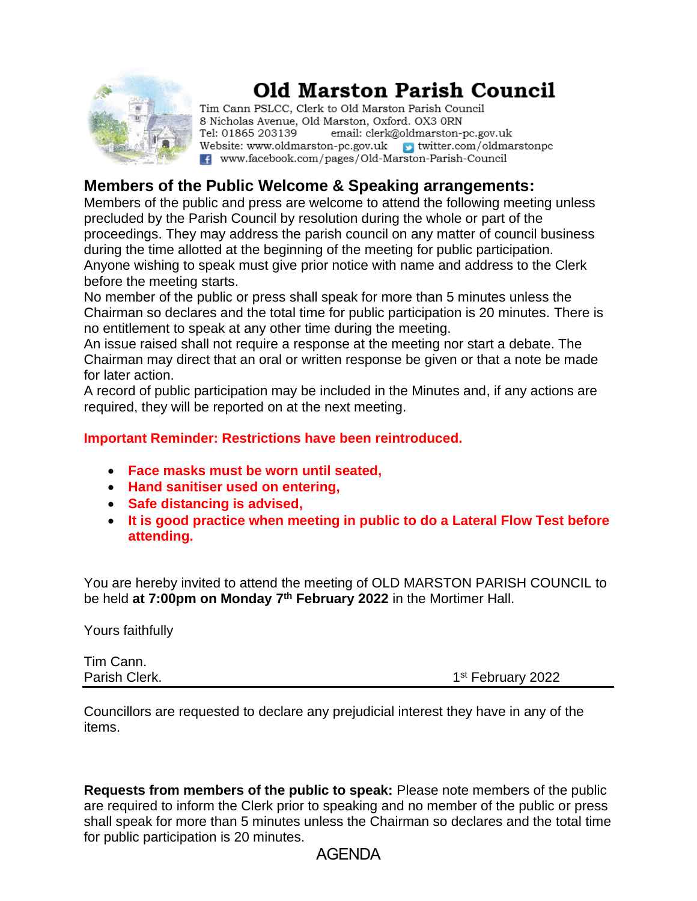

# **Old Marston Parish Council**

Tim Cann PSLCC, Clerk to Old Marston Parish Council 8 Nicholas Avenue, Old Marston, Oxford. OX3 ORN Tel: 01865 203139 email: clerk@oldmarston-pc.gov.uk Website: www.oldmarston-pc.gov.uk  $\rightarrow$  twitter.com/oldmarstonpc F. www.facebook.com/pages/Old-Marston-Parish-Council

## **Members of the Public Welcome & Speaking arrangements:**

Members of the public and press are welcome to attend the following meeting unless precluded by the Parish Council by resolution during the whole or part of the proceedings. They may address the parish council on any matter of council business during the time allotted at the beginning of the meeting for public participation. Anyone wishing to speak must give prior notice with name and address to the Clerk before the meeting starts.

No member of the public or press shall speak for more than 5 minutes unless the Chairman so declares and the total time for public participation is 20 minutes. There is no entitlement to speak at any other time during the meeting.

An issue raised shall not require a response at the meeting nor start a debate. The Chairman may direct that an oral or written response be given or that a note be made for later action.

A record of public participation may be included in the Minutes and, if any actions are required, they will be reported on at the next meeting.

**Important Reminder: Restrictions have been reintroduced.**

- **Face masks must be worn until seated,**
- **Hand sanitiser used on entering,**
- **Safe distancing is advised,**
- **It is good practice when meeting in public to do a Lateral Flow Test before attending.**

You are hereby invited to attend the meeting of OLD MARSTON PARISH COUNCIL to be held **at 7:00pm on Monday 7 th February 2022** in the Mortimer Hall.

Yours faithfully

Tim Cann. Parish Clerk. 1

1st February 2022

Councillors are requested to declare any prejudicial interest they have in any of the items.

**Requests from members of the public to speak:** Please note members of the public are required to inform the Clerk prior to speaking and no member of the public or press shall speak for more than 5 minutes unless the Chairman so declares and the total time for public participation is 20 minutes.

#### AGENDA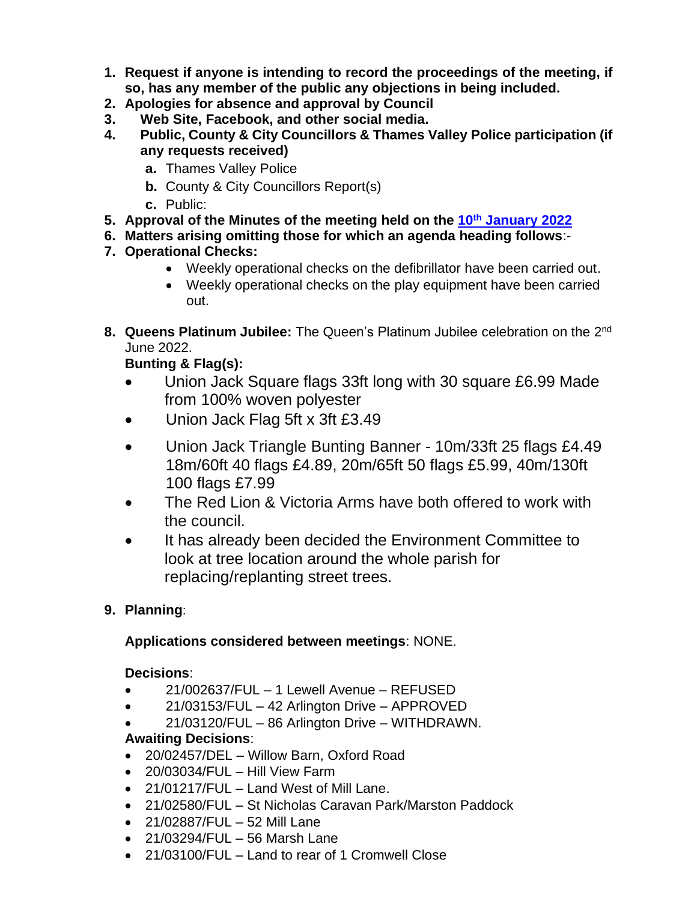- **1. Request if anyone is intending to record the proceedings of the meeting, if so, has any member of the public any objections in being included.**
- **2. Apologies for absence and approval by Council**
- **3. Web Site, Facebook, and other social media.**
- **4. Public, County & City Councillors & Thames Valley Police participation (if any requests received)**
	- **a.** Thames Valley Police
	- **b.** County & City Councillors Report(s)
	- **c.** Public:
- **5. Approval of the Minutes of the meeting held on the 10 th [January](file:///E:/2022/February/MINUTES%20January%202022.docx) 2022**
- **6. Matters arising omitting those for which an agenda heading follows**:-
- **7. Operational Checks:**
	- Weekly operational checks on the defibrillator have been carried out.
	- Weekly operational checks on the play equipment have been carried out.
- 8. Queens Platinum Jubilee: The Queen's Platinum Jubilee celebration on the 2<sup>nd</sup> June 2022.

## **Bunting & Flag(s):**

- Union Jack Square flags 33ft long with 30 square £6.99 Made from 100% woven polyester
- Union Jack Flag 5ft x 3ft £3.49
- Union Jack Triangle Bunting Banner 10m/33ft 25 flags £4.49 18m/60ft 40 flags £4.89, 20m/65ft 50 flags £5.99, 40m/130ft 100 flags £7.99
- The Red Lion & Victoria Arms have both offered to work with the council.
- It has already been decided the Environment Committee to look at tree location around the whole parish for replacing/replanting street trees.
- **9. Planning**:

#### **Applications considered between meetings**: NONE.

#### **Decisions**:

- 21/002637/FUL 1 Lewell Avenue REFUSED
- 21/03153/FUL 42 Arlington Drive APPROVED
- 21/03120/FUL 86 Arlington Drive WITHDRAWN.

#### **Awaiting Decisions**:

- 20/02457/DEL Willow Barn, Oxford Road
- $\bullet$  20/03034/FUL Hill View Farm
- 21/01217/FUL Land West of Mill Lane.
- 21/02580/FUL St Nicholas Caravan Park/Marston Paddock
- 21/02887/FUL 52 Mill Lane
- 21/03294/FUL 56 Marsh Lane
- 21/03100/FUL Land to rear of 1 Cromwell Close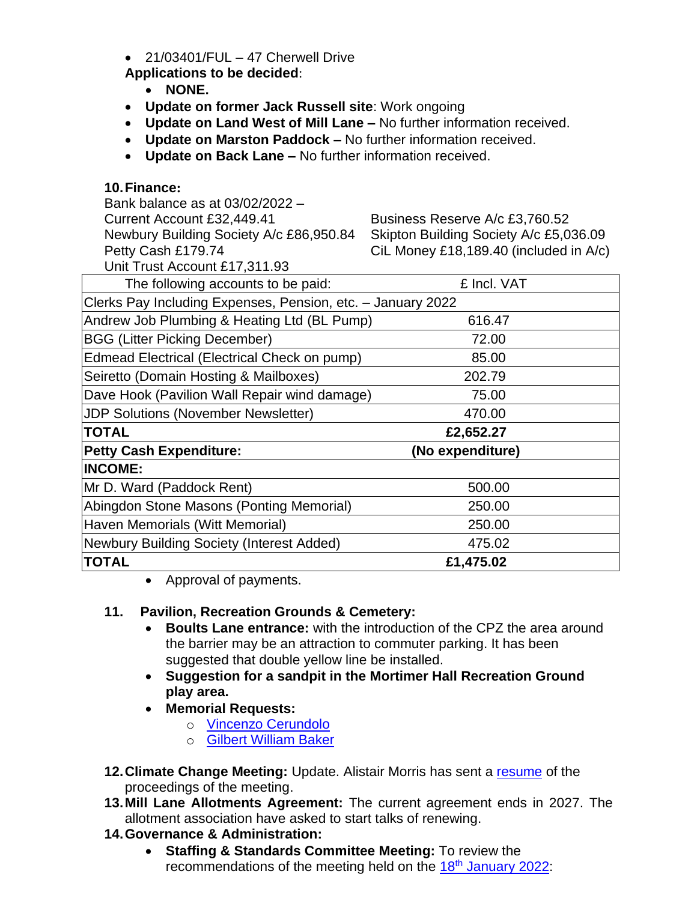$\bullet$  21/03401/FUL – 47 Cherwell Drive

**Applications to be decided**:

- **NONE.**
- **Update on former Jack Russell site**: Work ongoing
- **Update on Land West of Mill Lane –** No further information received.
- **Update on Marston Paddock –** No further information received.
- **Update on Back Lane –** No further information received.

#### **10.Finance:**

| Bank balance as at 03/02/2022 -                             |                                        |
|-------------------------------------------------------------|----------------------------------------|
| Current Account £32,449.41                                  | Business Reserve A/c £3,760.52         |
| Newbury Building Society A/c £86,950.84                     | Skipton Building Society A/c £5,036.09 |
| Petty Cash £179.74                                          | CiL Money £18,189.40 (included in A/c) |
| Unit Trust Account £17,311.93                               |                                        |
| The following accounts to be paid:                          | £ Incl. VAT                            |
| Clerks Pay Including Expenses, Pension, etc. - January 2022 |                                        |
| Andrew Job Plumbing & Heating Ltd (BL Pump)                 | 616.47                                 |
| <b>BGG (Litter Picking December)</b>                        | 72.00                                  |
| Edmead Electrical (Electrical Check on pump)                | 85.00                                  |
| Seiretto (Domain Hosting & Mailboxes)                       | 202.79                                 |
| Dave Hook (Pavilion Wall Repair wind damage)                | 75.00                                  |
| <b>JDP Solutions (November Newsletter)</b>                  | 470.00                                 |
| <b>TOTAL</b>                                                | £2,652.27                              |
| <b>Petty Cash Expenditure:</b>                              | (No expenditure)                       |
| <b>INCOME:</b>                                              |                                        |
| Mr D. Ward (Paddock Rent)                                   | 500.00                                 |
| Abingdon Stone Masons (Ponting Memorial)                    | 250.00                                 |
| Haven Memorials (Witt Memorial)                             | 250.00                                 |
| Newbury Building Society (Interest Added)                   | 475.02                                 |
| TOTAL                                                       | £1,475.02                              |

• Approval of payments.

### **11. Pavilion, Recreation Grounds & Cemetery:**

- **Boults Lane entrance:** with the introduction of the CPZ the area around the barrier may be an attraction to commuter parking. It has been suggested that double yellow line be installed.
- **Suggestion for a sandpit in the Mortimer Hall Recreation Ground play area.**
- **Memorial Requests:**
	- o [Vincenzo Cerundolo](file:///E:/2022/February/Cerundolo.pdf)
	- o [Gilbert William Baker](file:///E:/2022/February/Baker.pdf)
- **12. Climate Change Meeting:** Update. Alistair Morris has sent a [resume](file:///E:/2022/February/Climate%20Meeting%2024%20Jan.docx) of the proceedings of the meeting.
- **13.Mill Lane Allotments Agreement:** The current agreement ends in 2027. The allotment association have asked to start talks of renewing.
- **14.Governance & Administration:**
	- **Staffing & Standards Committee Meeting:** To review the recommendations of the meeting held on the 18<sup>th</sup> [January 2022:](file:///E:/2022/February/S&S%20January%202022.docx)